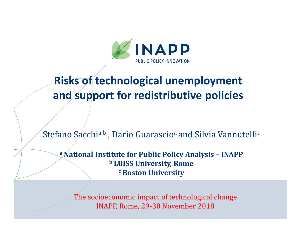

# **Risks of technological unemployment and support for redistributive policies**

Stefano Sacchi<sup>a,b</sup> , Dario Guarascio<sup>a</sup> and Silvia Vannutelli<sup>c</sup>

**a National Institute for Public Policy Analysis – INAPP b LUISS University, Romec Boston University**

The socioeconomic impact of technological change INAPP, Rome, 29-30 November <sup>2018</sup>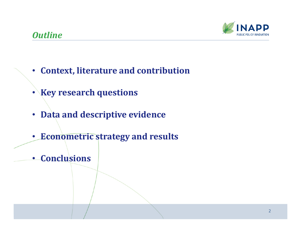## *Outline*



- **Context, literature and contribution**
- **Key research questions**
- **Data and descriptive evidence**
- $\bullet$ **Econometric strategy and results**
- **Conclusions**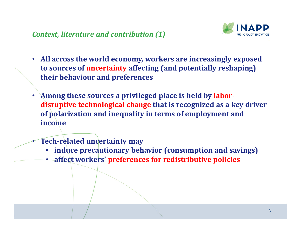

- $\bullet$  **All across the world economy, workers are increasingly exposed to sources of uncertainty affecting (and potentially reshaping) their behaviour and preferences**
- $\bullet$  **Among these sources a privileged place is held by labordisruptive technological change that is recognized as a key driver of polarization and inequality in terms of employment and income**
	- **Tech-related uncertainty may**

•

- •**induce precautionary behavior (consumption and savings )**
- •**affect workers' preferences for redistributive policies**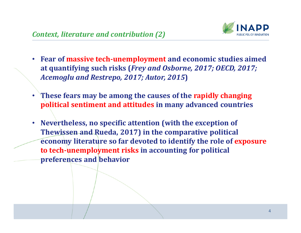

- $\bullet$  **Fear of massive tech-unemployment and economic studies aimed at quantifying such risks (***Frey and Osborne, 2017; OECD, 2017; Acemoglu and Restrepo, 2017; Autor, 2015***)**
- $\bullet$  **These fears may be among the causes of the rapidly changing political sentiment and attitudes in many advanced countries**
- **Nevertheless, no specific attention (with the exception of <b>TI Thewissen and Rueda, 2017) in the comparative political economy literature so far devoted to identify the role of exposure to tech-unemployment risks in accounting for political preferences and behavior**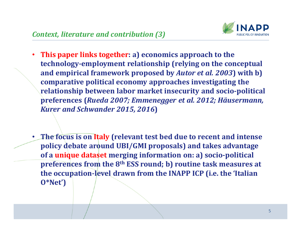

- **This paper links together: a) economics approach to the technology-employment relationship (relying on the conceptual and empirical framework proposed by** *Autor et al. 2003***) with b) comparative political economy approaches investigating the relationship between labor market insecurity and socio-political preferences (***Rueda 2007; Emmenegger et al. 2012; Häusermann, Kurer and Schwander 2015, 2016***)**
- • **The focus is on Italy (relevant test bed due to recent and intense policy debate around UBI/GMI proposals) and takes advantage of a unique dataset merging information on: a) socio-political preferences from the 8th ESS round; b) routine task measures at the occupation-level drawn from the INAPP ICP (i.e. the 'Italian O\*Net')**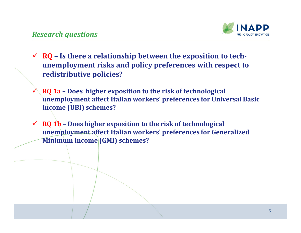

- $\checkmark$  **RQ** Is there a relationship between the exposition to tech-<br>  $\checkmark$ **unemployment risks and policy preferences with respect to redistributive policies?**
- $\checkmark$  **RQ 1a – Does higher exposition to the risk of technological unemployment affect Italian workers' preferences for Universal Basic Income (UBI) schemes?**
- **RQ 1b – Does higher exposition to the risk of technological unemployment affect Italian workers' preferences for Generalized Minimum Income (GMI) schemes?**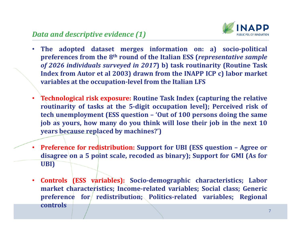

- • **The adopted dataset merges information on: a) socio-political** preferences from the 8<sup>th</sup> round of the Italian ESS (*representative sample* of 2026 individuals surveyed in 2017) b) task routinarity (Routine Task Index from Autor et al 2003) drawn from the INAPP ICP c) labor market **variables at the occupation-level from the Italian LFS**
- • **Technological risk exposure: Routine Task Index (capturing the relative routinarity of tasks at the 5-digit occupation level); Perceived risk of** tech unemployment (ESS question - 'Out of 100 persons doing the same job as yours, how many do you think will lose their job in the next 10 **years because replaced by machines?')**
- **Preference for redistribution: Support for UBI (ESS question – Agree or** disagree on a 5 point scale, recoded as binary); Support for GMI (As for **UBI)**
- • **Controls (ESS variables): Socio-demographic characteristics; Labor market characteristics; Income-related variables; Social class; Generic preference for redistribution; Politics-related variables; Regional controls**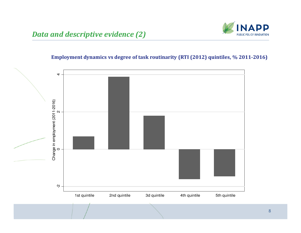### *Data and descriptive evidence (2)*



#### **Employment dynamics vs degree of task routinarity (RTI (2012) quintiles, % 2011-2016)**

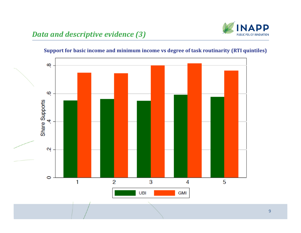## *Data and descriptive evidence (3)*





#### **Support for basic income and minimum income vs degree of task routinarity (RTI quintiles)**

9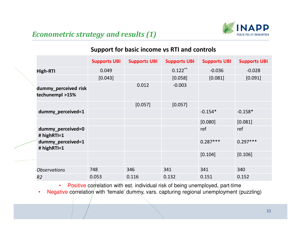

## *Econometric strategy and results (1)*

#### **Support for basic income vs RTI and controls**

|                                         | <b>Supports UBI</b> | <b>Supports UBI</b> | <b>Supports UBI</b> | <b>Supports UBI</b> | <b>Supports UBI</b> |
|-----------------------------------------|---------------------|---------------------|---------------------|---------------------|---------------------|
| <b>High-RTI</b>                         | 0.049               |                     | $0.122***$          | $-0.036$            | $-0.028$            |
|                                         | [0.043]             |                     | [0.058]             | [0.081]             | [0.091]             |
| dummy_perceived risk<br>techunempl >15% |                     | 0.012               | $-0.003$            |                     |                     |
|                                         |                     | [0.057]             | [0.057]             |                     |                     |
| dummy_perceived=1                       |                     |                     |                     | $-0.154*$           | $-0.158*$           |
|                                         |                     |                     |                     | [0.080]             | [0.081]             |
| dummy_perceived=0<br># highRTI=1        |                     |                     |                     | ref                 | ref                 |
| dummy_perceived=1<br># highRTI=1        |                     |                     |                     | $0.287***$          | $0.297***$          |
|                                         |                     |                     |                     | [0.104]             | [0.106]             |
|                                         |                     |                     |                     |                     |                     |
| <b>Observations</b>                     | 748                 | 346                 | 341                 | 341                 | 340                 |
| R <sub>2</sub>                          | 0.053               | 0.116               | 0.132               | 0.151               | 0.152               |

• Positive correlation with est. individual risk of being unemployed, part-time

•Negative correlation with 'female' dummy, vars. capturing regional unemployment (puzzling)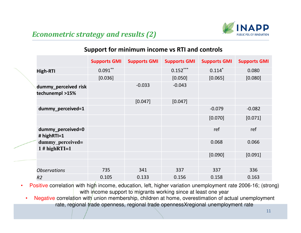

### *Econometric strategy and results (2)*

#### **Support for minimum income vs RTI and controls**

|  |                                         | <b>Supports GMI</b> | <b>Supports GMI</b> | <b>Supports GMI</b> | <b>Supports GMI</b> | <b>Supports GMI</b> |
|--|-----------------------------------------|---------------------|---------------------|---------------------|---------------------|---------------------|
|  | <b>High-RTI</b>                         | $0.091***$          |                     | $0.152***$          | $0.114*$            | 0.080               |
|  |                                         | [0.036]             |                     | [0.050]             | [0.065]             | [0.080]             |
|  | dummy_perceived risk<br>techunempl >15% |                     | $-0.033$            | $-0.043$            |                     |                     |
|  |                                         |                     | [0.047]             | [0.047]             |                     |                     |
|  | dummy_perceived=1                       |                     |                     |                     | $-0.079$            | $-0.082$            |
|  |                                         |                     |                     |                     | [0.070]             | [0.071]             |
|  | dummy_perceived=0<br># highRTI=1        |                     |                     |                     | ref                 | ref                 |
|  | dummy_perceived=<br>$1$ # highRTI=1     |                     |                     |                     | 0.068               | 0.066               |
|  |                                         |                     |                     |                     | [0.090]             | [0.091]             |
|  |                                         |                     |                     |                     |                     |                     |
|  | <b>Observations</b>                     | 735                 | 341                 | 337                 | 337                 | 336                 |
|  | R <sub>2</sub>                          | 0.105               | 0.133               | 0.156               | 0.158               | 0.163               |

Positive correlation with high income, education, left, higher variation unemployment rate 2006-16; (strong) •with income support to migrants working since at least one year

Negative correlation with union membership, children at home, overestimation of actual unemployment •rate, regional trade openness, regional trade opennessXregional unemployment rate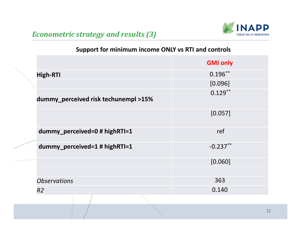

### *Econometric strategy and results (3)*

### **Support for minimum income ONLY vs RTI and controls**

|                                      | <b>GMI only</b> |
|--------------------------------------|-----------------|
| <b>High-RTI</b>                      | $0.196***$      |
|                                      | [0.096]         |
| dummy_perceived risk techunempl >15% | $0.129**$       |
|                                      | [0.057]         |
| dummy_perceived=0 # highRTI=1        | ref             |
| dummy_perceived=1 # highRTI=1        | $-0.237**$      |
|                                      | [0.060]         |
|                                      |                 |
| <b>Observations</b>                  | 363             |
| R <sub>2</sub>                       | 0.140           |
|                                      |                 |
|                                      | 12              |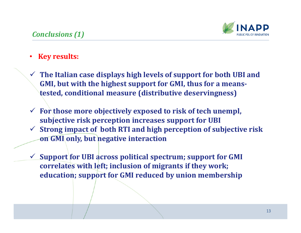

#### •**Key results:**

- **The Italian case displays high levels of support for both UBI and GMI, but with the highest support for GMI, thus for a meanstested, conditional measure (distributive deservingness)**
- **For those more objectively exposed to risk of tech unempl, subjective risk perception increases support for UBI**
- **Strong impact of both RTI and high perception of subjective risk on GMI only, but negative interaction**
- $\sqrt{2}$  **Support for UBI across political spectrum; support for GMI correlates with left; inclusion of migrants if they work; education; support for GMI reduced by union membership**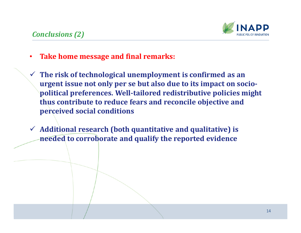

- •**Take home message and final remarks:**
- **The risk of technological unemployment is confirmed as an urgent issue not only per se but also due to its impact on sociopolitical preferences. Well-tailored redistributive policies might thus contribute to reduce fears and reconcile objective and perceived social conditions**
- **Additional research (both quantitative and qualitative) is needed to corroborate and qualify the reported evidence**